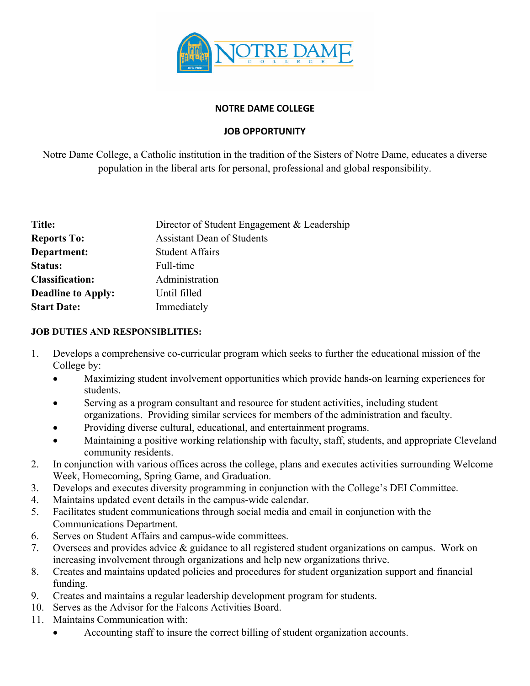

### **NOTRE DAME COLLEGE**

# **JOB OPPORTUNITY**

Notre Dame College, a Catholic institution in the tradition of the Sisters of Notre Dame, educates a diverse population in the liberal arts for personal, professional and global responsibility.

| Title:                    | Director of Student Engagement & Leadership |
|---------------------------|---------------------------------------------|
| <b>Reports To:</b>        | <b>Assistant Dean of Students</b>           |
| Department:               | <b>Student Affairs</b>                      |
| <b>Status:</b>            | Full-time                                   |
| <b>Classification:</b>    | Administration                              |
| <b>Deadline to Apply:</b> | Until filled                                |
| <b>Start Date:</b>        | Immediately                                 |

### **JOB DUTIES AND RESPONSIBLITIES:**

- 1. Develops a comprehensive co-curricular program which seeks to further the educational mission of the College by:
	- Maximizing student involvement opportunities which provide hands-on learning experiences for students.
	- Serving as a program consultant and resource for student activities, including student organizations. Providing similar services for members of the administration and faculty.
	- Providing diverse cultural, educational, and entertainment programs.
	- Maintaining a positive working relationship with faculty, staff, students, and appropriate Cleveland community residents.
- 2. In conjunction with various offices across the college, plans and executes activities surrounding Welcome Week, Homecoming, Spring Game, and Graduation.
- 3. Develops and executes diversity programming in conjunction with the College's DEI Committee.
- 4. Maintains updated event details in the campus-wide calendar.
- 5. Facilitates student communications through social media and email in conjunction with the Communications Department.
- 6. Serves on Student Affairs and campus-wide committees.
- 7. Oversees and provides advice & guidance to all registered student organizations on campus. Work on increasing involvement through organizations and help new organizations thrive.
- 8. Creates and maintains updated policies and procedures for student organization support and financial funding.
- 9. Creates and maintains a regular leadership development program for students.
- 10. Serves as the Advisor for the Falcons Activities Board.
- 11. Maintains Communication with:
	- Accounting staff to insure the correct billing of student organization accounts.